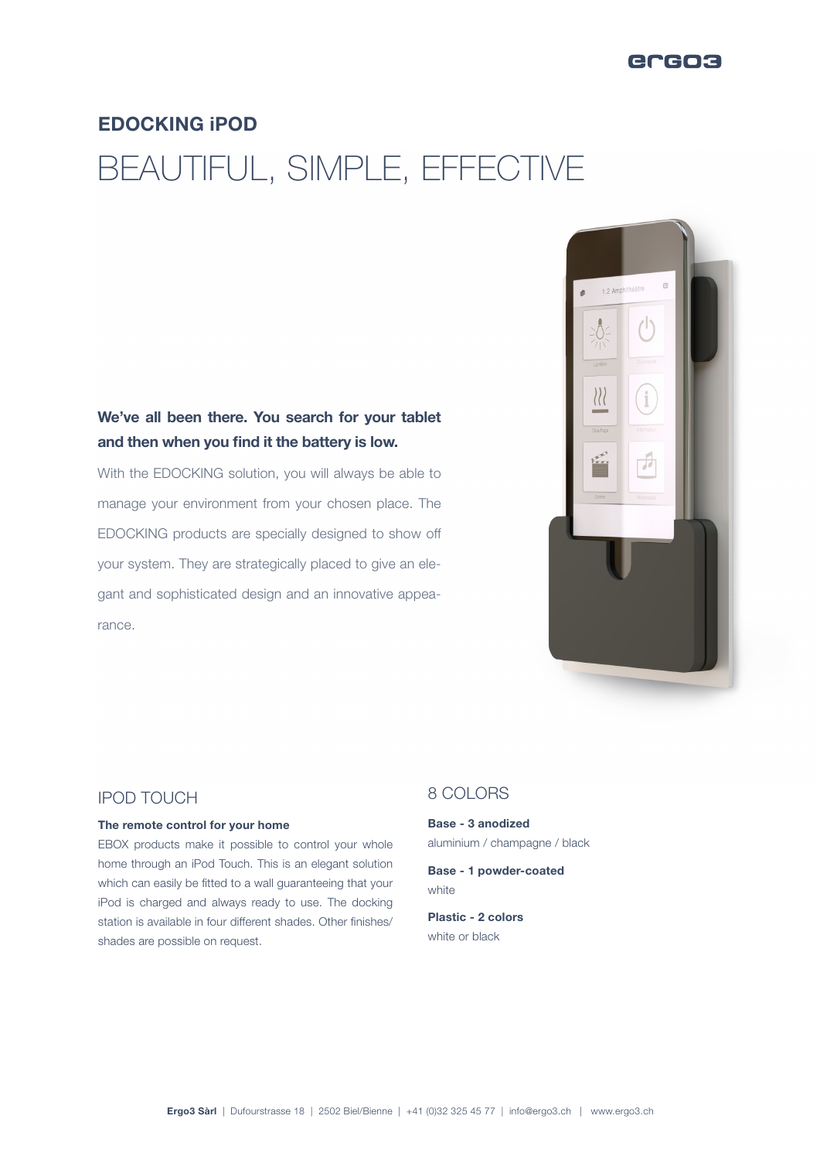# EDOCKING iPOD

# BEAUTIFUL, SIMPLE, EFFECTIVE

## We've all been there. You search for your tablet and then when you find it the battery is low.

With the EDOCKING solution, you will always be able to manage your environment from your chosen place. The EDOCKING products are specially designed to show off your system. They are strategically placed to give an elegant and sophisticated design and an innovative appearance.



### IPOD TOUCH

#### The remote control for your home

EBOX products make it possible to control your whole home through an iPod Touch. This is an elegant solution which can easily be fitted to a wall guaranteeing that your iPod is charged and always ready to use. The docking station is available in four different shades. Other finishes/ shades are possible on request.

## 8 COLORS

Base - 3 anodized aluminium / champagne / black

Base - 1 powder-coated white

Plastic - 2 colors white or black